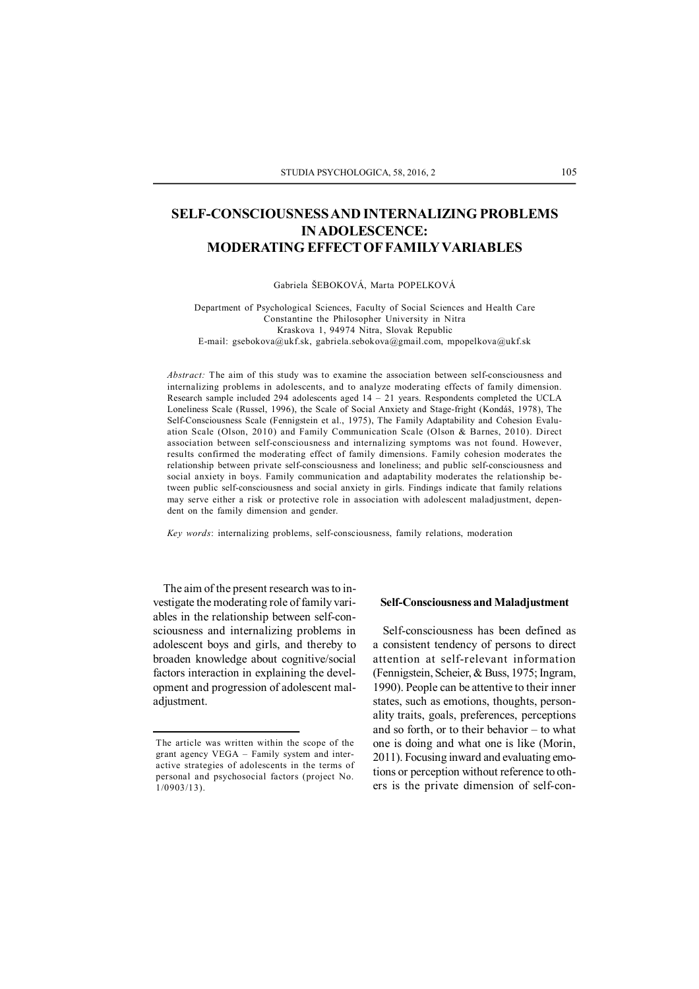# **SELF-CONSCIOUSNESS AND INTERNALIZING PROBLEMS IN ADOLESCENCE: MODERATING EFFECT OF FAMILYVARIABLES**

Gabriela ŠEBOKOVÁ, Marta POPELKOVÁ

Department of Psychological Sciences, Faculty of Social Sciences and Health Care Constantine the Philosopher University in Nitra Kraskova 1, 94974 Nitra, Slovak Republic E-mail: gsebokova@ukf.sk, gabriela.sebokova@gmail.com, mpopelkova@ukf.sk

*Abstract:* The aim of this study was to examine the association between self-consciousness and internalizing problems in adolescents, and to analyze moderating effects of family dimension. Research sample included 294 adolescents aged 14 – 21 years. Respondents completed the UCLA Loneliness Scale (Russel, 1996), the Scale of Social Anxiety and Stage-fright (Kondáš, 1978), The Self-Consciousness Scale (Fennigstein et al., 1975), The Family Adaptability and Cohesion Evaluation Scale (Olson, 2010) and Family Communication Scale (Olson & Barnes, 2010). Direct association between self-consciousness and internalizing symptoms was not found. However, results confirmed the moderating effect of family dimensions. Family cohesion moderates the relationship between private self-consciousness and loneliness; and public self-consciousness and social anxiety in boys. Family communication and adaptability moderates the relationship between public self-consciousness and social anxiety in girls. Findings indicate that family relations may serve either a risk or protective role in association with adolescent maladjustment, dependent on the family dimension and gender.

*Key words*: internalizing problems, self-consciousness, family relations, moderation

The aim of the present research was to investigate the moderating role of family variables in the relationship between self-consciousness and internalizing problems in adolescent boys and girls, and thereby to broaden knowledge about cognitive/social factors interaction in explaining the development and progression of adolescent maladjustment.

#### **Self-Consciousness and Maladjustment**

Self-consciousness has been defined as a consistent tendency of persons to direct attention at self-relevant information (Fennigstein, Scheier, & Buss, 1975; Ingram, 1990). People can be attentive to their inner states, such as emotions, thoughts, personality traits, goals, preferences, perceptions and so forth, or to their behavior – to what one is doing and what one is like (Morin, 2011). Focusing inward and evaluating emotions or perception without reference to others is the private dimension of self-con-

The article was written within the scope of the grant agency VEGA – Family system and interactive strategies of adolescents in the terms of personal and psychosocial factors (project No. 1/0903/13).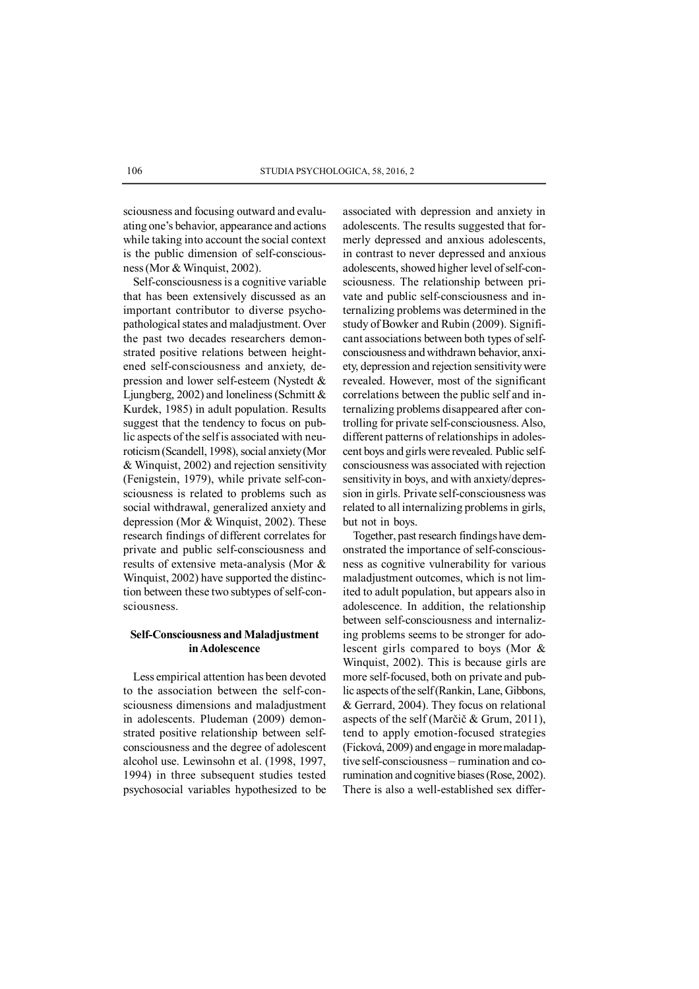sciousness and focusing outward and evaluating one's behavior, appearance and actions while taking into account the social context is the public dimension of self-consciousness (Mor & Winquist, 2002).

Self-consciousness is a cognitive variable that has been extensively discussed as an important contributor to diverse psychopathological states and maladjustment. Over the past two decades researchers demonstrated positive relations between heightened self-consciousness and anxiety, depression and lower self-esteem (Nystedt & Ljungberg, 2002) and loneliness (Schmitt  $\&$ Kurdek, 1985) in adult population. Results suggest that the tendency to focus on public aspects of the self is associated with neuroticism (Scandell, 1998), social anxiety (Mor & Winquist, 2002) and rejection sensitivity (Fenigstein, 1979), while private self-consciousness is related to problems such as social withdrawal, generalized anxiety and depression (Mor & Winquist, 2002). These research findings of different correlates for private and public self-consciousness and results of extensive meta-analysis (Mor & Winquist, 2002) have supported the distinction between these two subtypes of self-consciousness.

# **Self-Consciousness and Maladjustment in Adolescence**

Less empirical attention has been devoted to the association between the self-consciousness dimensions and maladjustment in adolescents. Pludeman (2009) demonstrated positive relationship between selfconsciousness and the degree of adolescent alcohol use. Lewinsohn et al. (1998, 1997, 1994) in three subsequent studies tested psychosocial variables hypothesized to be

associated with depression and anxiety in adolescents. The results suggested that formerly depressed and anxious adolescents, in contrast to never depressed and anxious adolescents, showed higher level of self-consciousness. The relationship between private and public self-consciousness and internalizing problems was determined in the study of Bowker and Rubin (2009). Significant associations between both types of selfconsciousness and withdrawn behavior, anxiety, depression and rejection sensitivity were revealed. However, most of the significant correlations between the public self and internalizing problems disappeared after controlling for private self-consciousness. Also, different patterns of relationships in adolescent boys and girls were revealed. Public selfconsciousness was associated with rejection sensitivity in boys, and with anxiety/depression in girls. Private self-consciousness was related to all internalizing problems in girls, but not in boys.

Together, past research findings have demonstrated the importance of self-consciousness as cognitive vulnerability for various maladjustment outcomes, which is not limited to adult population, but appears also in adolescence. In addition, the relationship between self-consciousness and internalizing problems seems to be stronger for adolescent girls compared to boys (Mor & Winquist, 2002). This is because girls are more self-focused, both on private and public aspects of the self (Rankin, Lane, Gibbons, & Gerrard, 2004). They focus on relational aspects of the self (Marčič & Grum, 2011), tend to apply emotion-focused strategies (Ficková, 2009) and engage in more maladaptive self-consciousness – rumination and corumination and cognitive biases (Rose, 2002). There is also a well-established sex differ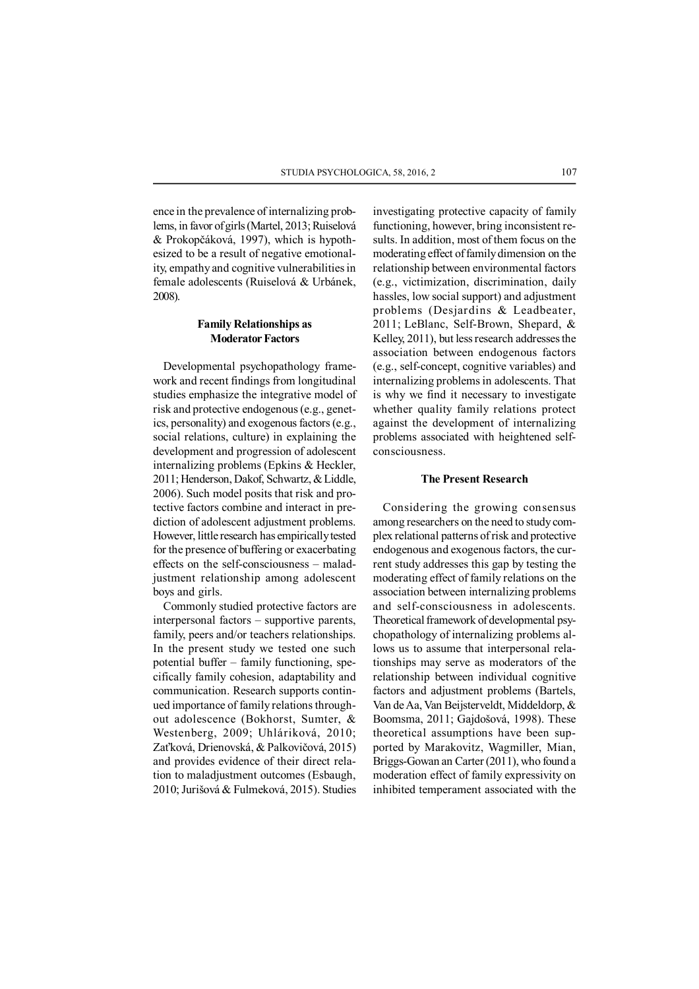ence in the prevalence of internalizing problems, in favor of girls (Martel, 2013; Ruiselová & Prokopčáková, 1997), which is hypothesized to be a result of negative emotionality, empathy and cognitive vulnerabilities in female adolescents (Ruiselová & Urbánek, 2008).

# **Family Relationships as Moderator Factors**

Developmental psychopathology framework and recent findings from longitudinal studies emphasize the integrative model of risk and protective endogenous (e.g., genetics, personality) and exogenous factors (e.g., social relations, culture) in explaining the development and progression of adolescent internalizing problems (Epkins & Heckler, 2011; Henderson, Dakof, Schwartz, & Liddle, 2006). Such model posits that risk and protective factors combine and interact in prediction of adolescent adjustment problems. However, little research has empirically tested for the presence of buffering or exacerbating effects on the self-consciousness – maladjustment relationship among adolescent boys and girls.

Commonly studied protective factors are interpersonal factors – supportive parents, family, peers and/or teachers relationships. In the present study we tested one such potential buffer – family functioning, specifically family cohesion, adaptability and communication. Research supports continued importance of family relations throughout adolescence (Bokhorst, Sumter, & Westenberg, 2009; Uhláriková, 2010; Zaťková, Drienovská, & Palkovičová, 2015) and provides evidence of their direct relation to maladjustment outcomes (Esbaugh, 2010; Jurišová & Fulmeková, 2015). Studies

investigating protective capacity of family functioning, however, bring inconsistent results. In addition, most of them focus on the moderating effect of family dimension on the relationship between environmental factors (e.g., victimization, discrimination, daily hassles, low social support) and adjustment problems (Desjardins & Leadbeater, 2011; LeBlanc, Self-Brown, Shepard, & Kelley, 2011), but less research addresses the association between endogenous factors (e.g., self-concept, cognitive variables) and internalizing problems in adolescents. That is why we find it necessary to investigate whether quality family relations protect against the development of internalizing problems associated with heightened selfconsciousness.

### **The Present Research**

Considering the growing consensus among researchers on the need to study complex relational patterns of risk and protective endogenous and exogenous factors, the current study addresses this gap by testing the moderating effect of family relations on the association between internalizing problems and self-consciousness in adolescents. Theoretical framework of developmental psychopathology of internalizing problems allows us to assume that interpersonal relationships may serve as moderators of the relationship between individual cognitive factors and adjustment problems (Bartels, Van de Aa, Van Beijsterveldt, Middeldorp, & Boomsma, 2011; Gajdošová, 1998). These theoretical assumptions have been supported by Marakovitz, Wagmiller, Mian, Briggs-Gowan an Carter (2011), who found a moderation effect of family expressivity on inhibited temperament associated with the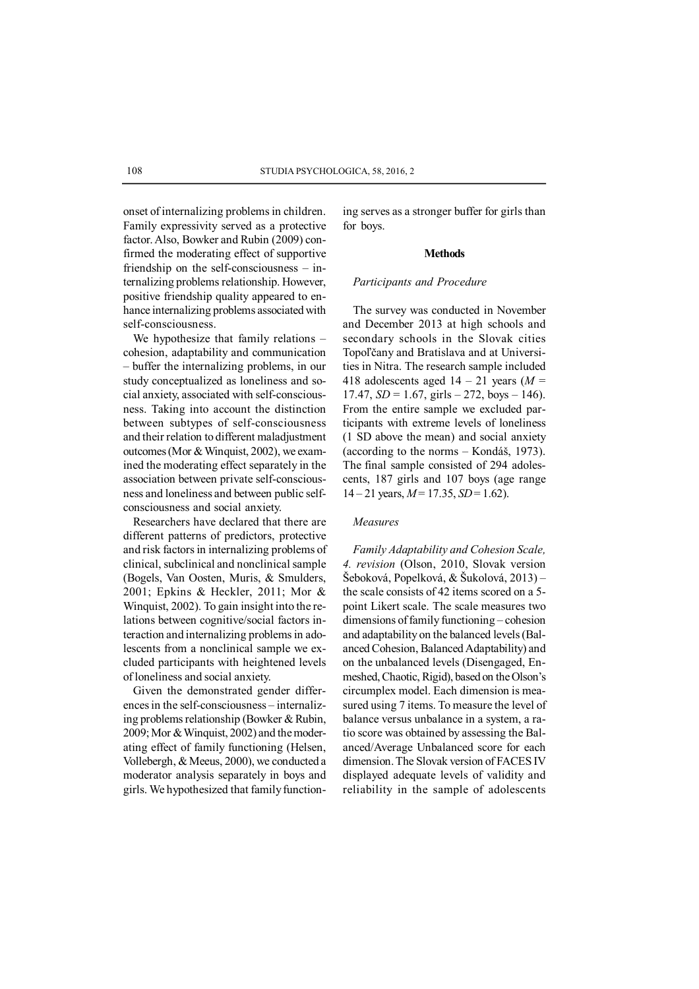onset of internalizing problems in children. Family expressivity served as a protective factor. Also, Bowker and Rubin (2009) confirmed the moderating effect of supportive friendship on the self-consciousness – internalizing problems relationship. However, positive friendship quality appeared to enhance internalizing problems associated with self-consciousness.

We hypothesize that family relations – cohesion, adaptability and communication – buffer the internalizing problems, in our study conceptualized as loneliness and social anxiety, associated with self-consciousness. Taking into account the distinction between subtypes of self-consciousness and their relation to different maladjustment outcomes (Mor & Winquist, 2002), we examined the moderating effect separately in the association between private self-consciousness and loneliness and between public selfconsciousness and social anxiety.

Researchers have declared that there are different patterns of predictors, protective and risk factors in internalizing problems of clinical, subclinical and nonclinical sample (Bogels, Van Oosten, Muris, & Smulders, 2001; Epkins & Heckler, 2011; Mor & Winquist, 2002). To gain insight into the relations between cognitive/social factors interaction and internalizing problems in adolescents from a nonclinical sample we excluded participants with heightened levels of loneliness and social anxiety.

Given the demonstrated gender differences in the self-consciousness – internalizing problems relationship (Bowker & Rubin, 2009; Mor & Winquist, 2002) and the moderating effect of family functioning (Helsen, Vollebergh, & Meeus, 2000), we conducted a moderator analysis separately in boys and girls. We hypothesized that family functioning serves as a stronger buffer for girls than for boys.

#### **Methods**

## *Participants and Procedure*

The survey was conducted in November and December 2013 at high schools and secondary schools in the Slovak cities Topoľčany and Bratislava and at Universities in Nitra. The research sample included 418 adolescents aged  $14 - 21$  years ( $M =$  $17.47, SD = 1.67, girls - 272, boys - 146.$ From the entire sample we excluded participants with extreme levels of loneliness (1 SD above the mean) and social anxiety (according to the norms – Kondáš, 1973). The final sample consisted of 294 adolescents, 187 girls and 107 boys (age range  $14 - 21$  years,  $M = 17.35$ ,  $SD = 1.62$ ).

# *Measures*

*Family Adaptability and Cohesion Scale, 4. revision* (Olson, 2010, Slovak version Šeboková, Popelková, & Šukolová, 2013) *–* the scale consists of 42 items scored on a 5 point Likert scale. The scale measures two dimensions of family functioning – cohesion and adaptability on the balanced levels (Balanced Cohesion, Balanced Adaptability) and on the unbalanced levels (Disengaged, Enmeshed, Chaotic, Rigid), based on the Olson's circumplex model. Each dimension is measured using 7 items. To measure the level of balance versus unbalance in a system, a ratio score was obtained by assessing the Balanced/Average Unbalanced score for each dimension. The Slovak version of FACES IV displayed adequate levels of validity and reliability in the sample of adolescents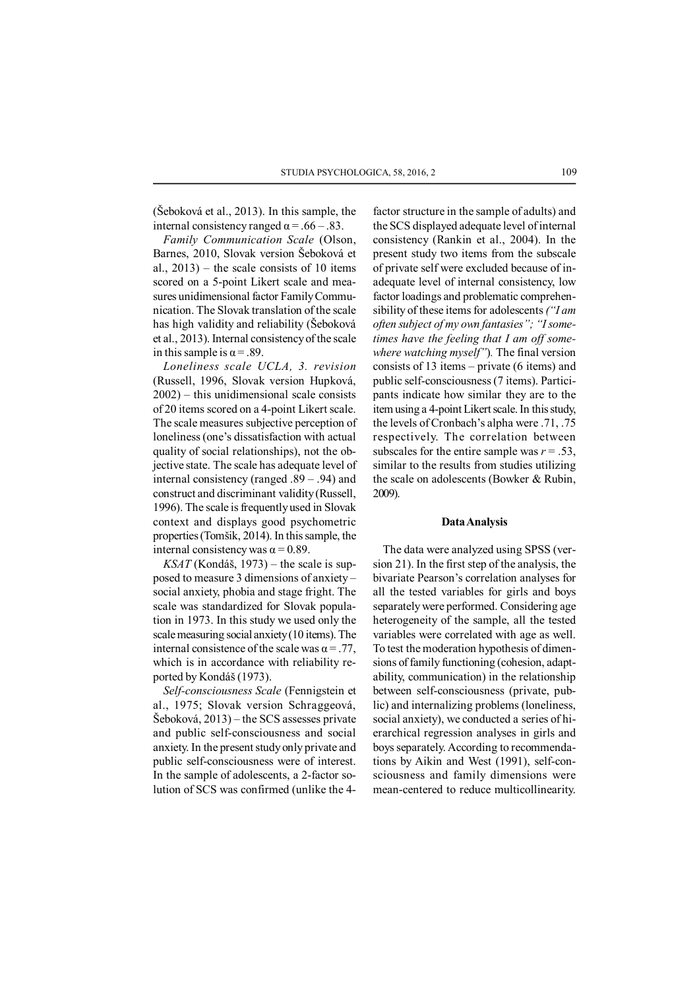(Šeboková et al., 2013). In this sample, the internal consistency ranged  $\alpha$  = .66 – .83.

*Family Communication Scale* (Olson, Barnes, 2010, Slovak version Šeboková et al., 2013) *–* the scale consists of 10 items scored on a 5-point Likert scale and measures unidimensional factor Family Communication. The Slovak translation of the scale has high validity and reliability (Šeboková et al., 2013). Internal consistency of the scale in this sample is  $\alpha = .89$ .

*Loneliness scale UCLA, 3. revision* (Russell, 1996, Slovak version Hupková, 2002) – this unidimensional scale consists of 20 items scored on a 4-point Likert scale. The scale measures subjective perception of loneliness (one's dissatisfaction with actual quality of social relationships), not the objective state. The scale has adequate level of internal consistency (ranged .89 – .94) and construct and discriminant validity (Russell, 1996). The scale is frequently used in Slovak context and displays good psychometric properties (Tomšik, 2014). In this sample, the internal consistency was  $\alpha$  = 0.89.

*KSAT* (Kondáš, 1973) *–* the scale is supposed to measure 3 dimensions of anxiety – social anxiety, phobia and stage fright. The scale was standardized for Slovak population in 1973. In this study we used only the scale measuring social anxiety (10 items). The internal consistence of the scale was  $\alpha = .77$ , which is in accordance with reliability reported by Kondáš (1973).

*Self-consciousness Scale* (Fennigstein et al., 1975; Slovak version Schraggeová, Šeboková, 2013) – the SCS assesses private and public self-consciousness and social anxiety. In the present study only private and public self-consciousness were of interest. In the sample of adolescents, a 2-factor solution of SCS was confirmed (unlike the 4factor structure in the sample of adults) and the SCS displayed adequate level of internal consistency (Rankin et al., 2004). In the present study two items from the subscale of private self were excluded because of inadequate level of internal consistency, low factor loadings and problematic comprehensibility of these items for adolescents *("I am often subject of my own fantasies"; "I sometimes have the feeling that I am off somewhere watching myself"*)*.* The final version consists of 13 items – private (6 items) and public self-consciousness (7 items). Participants indicate how similar they are to the item using a 4-point Likert scale. In this study, the levels of Cronbach's alpha were .71, .75 respectively. The correlation between subscales for the entire sample was  $r = .53$ , similar to the results from studies utilizing the scale on adolescents (Bowker & Rubin, 2009).

### **Data Analysis**

The data were analyzed using SPSS (version 21). In the first step of the analysis, the bivariate Pearson's correlation analyses for all the tested variables for girls and boys separately were performed. Considering age heterogeneity of the sample, all the tested variables were correlated with age as well. To test the moderation hypothesis of dimensions of family functioning (cohesion, adaptability, communication) in the relationship between self-consciousness (private, public) and internalizing problems (loneliness, social anxiety), we conducted a series of hierarchical regression analyses in girls and boys separately. According to recommendations by Aikin and West (1991), self-consciousness and family dimensions were mean-centered to reduce multicollinearity.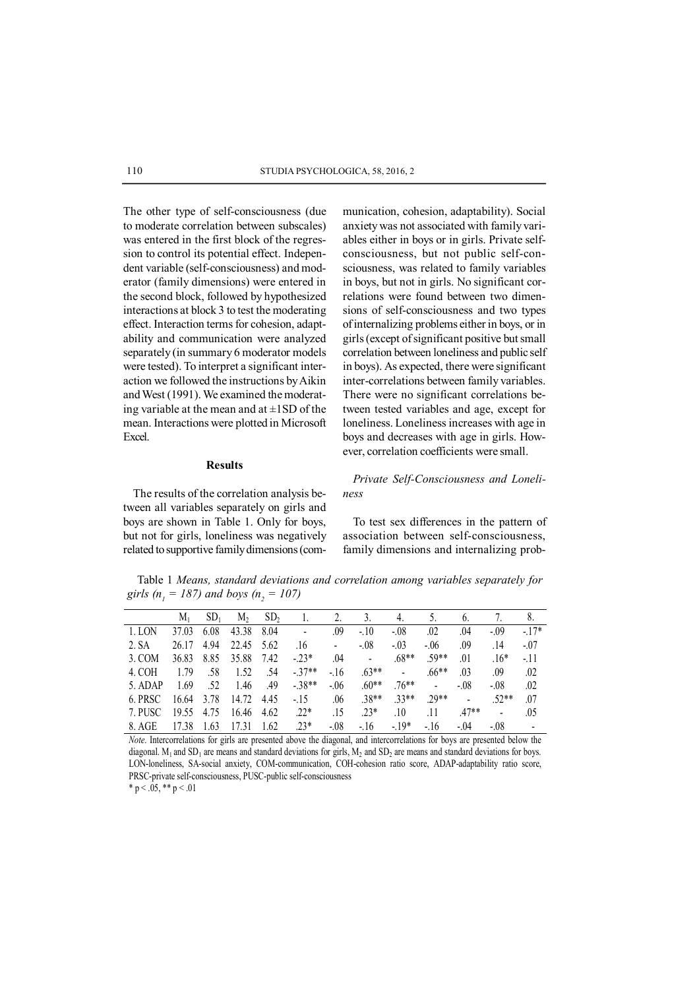The other type of self-consciousness (due to moderate correlation between subscales) was entered in the first block of the regression to control its potential effect. Independent variable (self-consciousness) and moderator (family dimensions) were entered in the second block, followed by hypothesized interactions at block 3 to test the moderating effect. Interaction terms for cohesion, adaptability and communication were analyzed separately (in summary 6 moderator models were tested). To interpret a significant interaction we followed the instructions by Aikin and West (1991). We examined the moderating variable at the mean and at  $\pm$ 1SD of the mean. Interactions were plotted in Microsoft Excel.

anxiety was not associated with family variables either in boys or in girls. Private selfconsciousness, but not public self-consciousness, was related to family variables in boys, but not in girls. No significant correlations were found between two dimensions of self-consciousness and two types of internalizing problems either in boys, or in girls (except of significant positive but small correlation between loneliness and public self in boys). As expected, there were significant inter-correlations between family variables. There were no significant correlations between tested variables and age, except for loneliness. Loneliness increases with age in boys and decreases with age in girls. However, correlation coefficients were small.

munication, cohesion, adaptability). Social

#### **Results**

The results of the correlation analysis between all variables separately on girls and boys are shown in Table 1. Only for boys, but not for girls, loneliness was negatively related to supportive family dimensions (com-

*Private Self-Consciousness and Loneliness*

To test sex differences in the pattern of association between self-consciousness, family dimensions and internalizing prob-

Table 1 *Means, standard deviations and correlation among variables separately for girls (n<sub>1</sub></sub> = 187) and boys (n<sub>2</sub> = 107)* 

|         | $M_{1}$ | SD <sub>1</sub> | M <sub>2</sub> | SD <sub>2</sub> |                              | 2.             |                | 4.             |                | $\mathfrak b$ . |                | 8.                       |
|---------|---------|-----------------|----------------|-----------------|------------------------------|----------------|----------------|----------------|----------------|-----------------|----------------|--------------------------|
| 1. LON  | 37.03   | 6.08            | 43.38          | 8.04            | $\qquad \qquad \blacksquare$ | .09            | $-10$          | $-08$          | .02            | .04             | $-0.09$        | $-17*$                   |
| 2. SA   | 26.17   | 4.94            | 22.45          | 5.62            | .16                          | $\overline{a}$ | $-0.08$        | $-.03$         | $-.06$         | .09             | .14            | $-07$                    |
| 3. COM  | 36.83   | 8.85            | 35.88          | 7.42            | $-23*$                       | .04            | $\blacksquare$ | $.68**$        | $.59**$        | .01             | $.16*$         | $-11$                    |
| 4. COH  | 179     | .58             | 1.52           | .54             | $-37**$                      | $-16$          | $.63**$        | $\blacksquare$ | $.66**$        | .03             | .09            | .02                      |
| 5. ADAP | 1.69    | .52             | 1.46           | .49             | $-38**$                      | $-06$          | $.60**$        | 76**           | $\blacksquare$ | $-.08$          | $-08$          | .02                      |
| 6. PRSC | 16.64   | 3.78            | 14.72          | 4.45            | $-15$                        | .06            | $.38**$        | $33**$         | $29**$         | $\blacksquare$  | $.52**$        | .07                      |
| 7. PUSC | 19.55   | 4.75            | 16.46          | 4.62            | $.22*$                       | .15            | $.23*$         | .10            | .11            | $.47**$         | $\blacksquare$ | .05                      |
| 8. AGE  | 17.38   | 1.63            | 1731           | 1.62            | $23*$                        | $-08$          | $-16$          | $-19*$         | $-16$          | $-.04$          | $-08$          | $\overline{\phantom{a}}$ |

*Note*. Intercorrelations for girls are presented above the diagonal, and intercorrelations for boys are presented below the diagonal. M<sub>1</sub> and SD<sub>1</sub> are means and standard deviations for girls, M<sub>2</sub> and SD<sub>2</sub> are means and standard deviations for boys. LON-loneliness, SA-social anxiety, COM-communication, COH-cohesion ratio score, ADAP-adaptability ratio score, PRSC-private self-consciousness, PUSC-public self-consciousness

\* p < .05, \*\* p < .01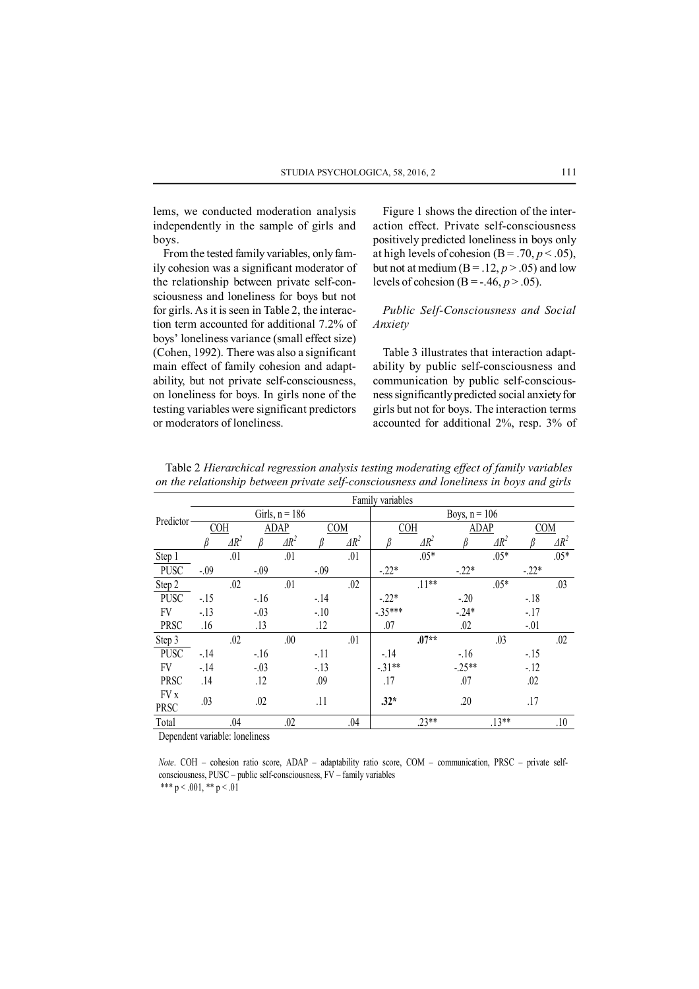lems, we conducted moderation analysis independently in the sample of girls and boys.

From the tested family variables, only family cohesion was a significant moderator of the relationship between private self-consciousness and loneliness for boys but not for girls. As it is seen in Table 2, the interaction term accounted for additional 7.2% of boys' loneliness variance (small effect size) (Cohen, 1992). There was also a significant main effect of family cohesion and adaptability, but not private self-consciousness, on loneliness for boys. In girls none of the testing variables were significant predictors or moderators of loneliness.

Figure 1 shows the direction of the interaction effect. Private self-consciousness positively predicted loneliness in boys only at high levels of cohesion  $(B = .70, p < .05)$ , but not at medium ( $B = .12$ ,  $p > .05$ ) and low levels of cohesion (B =  $-46, p > .05$ ).

## *Public Self-Consciousness and Social Anxiety*

Table 3 illustrates that interaction adaptability by public self-consciousness and communication by public self-consciousness significantly predicted social anxiety for girls but not for boys. The interaction terms accounted for additional 2%, resp. 3% of

| Predictor                                      | Family variables |              |             |                  |            |              |                 |              |             |              |            |              |  |
|------------------------------------------------|------------------|--------------|-------------|------------------|------------|--------------|-----------------|--------------|-------------|--------------|------------|--------------|--|
|                                                |                  |              |             | Girls, $n = 186$ |            |              | Boys, $n = 106$ |              |             |              |            |              |  |
|                                                | COH              |              | <b>ADAP</b> |                  | <b>COM</b> |              | <b>COH</b>      |              | <b>ADAP</b> |              | <b>COM</b> |              |  |
|                                                |                  | $\Delta R^2$ |             | $\Delta R^2$     |            | $\Delta R^2$ |                 | $\Delta R^2$ |             | $\Delta R^2$ |            | $\Delta R^2$ |  |
| Step 1                                         |                  | .01          |             | .01              |            | .01          |                 | $.05*$       |             | $.05*$       |            | $.05*$       |  |
| <b>PUSC</b>                                    | $-0.09$          |              | $-0.09$     |                  | $-0.09$    |              | $-22*$          |              | $-22*$      |              | $-.22*$    |              |  |
| Step 2                                         |                  | .02          |             | .01              |            | .02          |                 | $.11***$     |             | $.05*$       |            | .03          |  |
| PUSC                                           | $-15$            |              | $-16$       |                  | $-14$      |              | $-22*$          |              | $-20$       |              | $-18$      |              |  |
| FV                                             | $-13$            |              | $-03$       |                  | $-10$      |              | $-35***$        |              | $-24*$      |              | $-17$      |              |  |
| PRSC                                           | .16              |              | .13         |                  | .12        |              | .07             |              | .02         |              | $-.01$     |              |  |
| Step 3                                         |                  | .02          |             | .00.             |            | .01          |                 | $.07**$      |             | .03          |            | .02          |  |
| <b>PUSC</b>                                    | $-14$            |              | $-16$       |                  | $-11$      |              | $-14$           |              | $-16$       |              | $-15$      |              |  |
| FV                                             | $-14$            |              | $-03$       |                  | $-13$      |              | $-31**$         |              | $-25**$     |              | $-12$      |              |  |
| <b>PRSC</b>                                    | .14              |              | .12         |                  | .09        |              | .17             |              | .07         |              | .02        |              |  |
| FV x                                           | .03              |              |             |                  | .11        |              |                 |              |             |              |            |              |  |
| PRSC                                           |                  |              | .02         |                  |            |              | $.32*$          |              | .20         |              | .17        |              |  |
| Total                                          |                  | .04          |             | .02              |            | .04          |                 | $.23**$      |             | $.13**$      |            | .10          |  |
| $-11 - 1$<br>$\cdot$<br>$\sim$<br>$\mathbf{1}$ |                  |              |             |                  |            |              |                 |              |             |              |            |              |  |

Table 2 *Hierarchical regression analysis testing moderating effect of family variables on the relationship between private self-consciousness and loneliness in boys and girls*

Dependent variable: loneliness

*Note*. COH – cohesion ratio score, ADAP – adaptability ratio score, COM – communication, PRSC – private selfconsciousness, PUSC – public self-consciousness, FV – family variables \*\*\*  $p < .001$ , \*\*  $p < .01$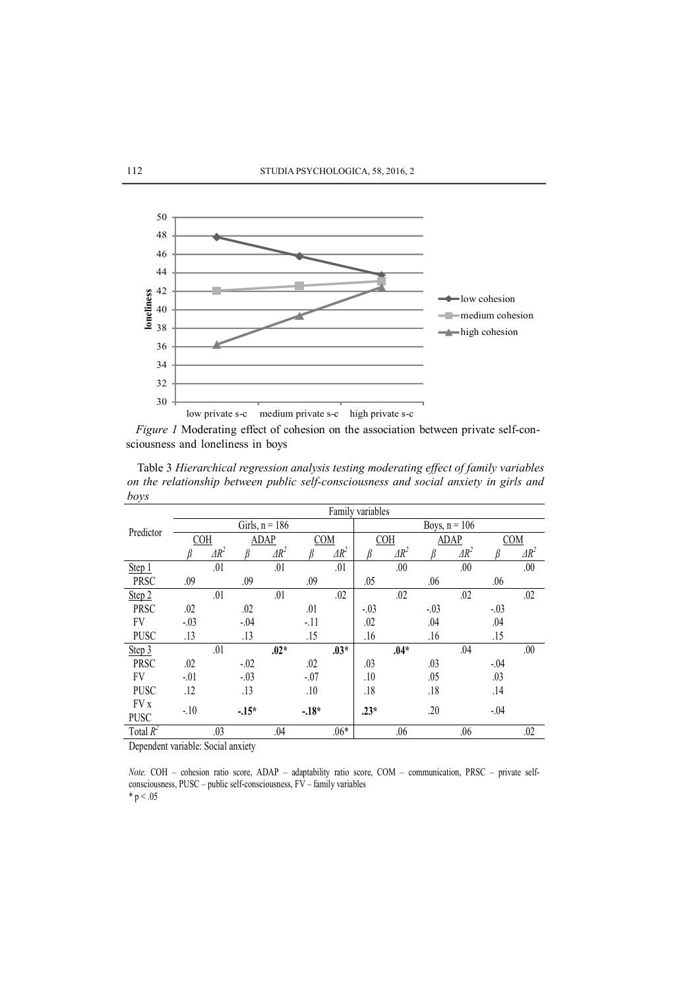

*Figure 1* Moderating effect of cohesion on the association between private self-consciousness and loneliness in boys

Table 3 *Hierarchical regression analysis testing moderating effect of family variables on the relationship between public self-consciousness and social anxiety in girls and boys*

| v<br>Predictor | Family variables        |              |             |        |            |              |            |                 |        |              |            |              |  |  |
|----------------|-------------------------|--------------|-------------|--------|------------|--------------|------------|-----------------|--------|--------------|------------|--------------|--|--|
|                | Girls, $n = 186$        |              |             |        |            |              |            | Boys, $n = 106$ |        |              |            |              |  |  |
|                | COH                     |              | <b>ADAP</b> |        | <b>COM</b> |              | <b>COH</b> |                 | ADAP   |              | <b>COM</b> |              |  |  |
|                |                         | $\Delta R^2$ |             | $AR^2$ |            | $\Delta R^2$ |            | $\Delta R^2$    |        | $\Delta R^2$ |            | $\Delta R^2$ |  |  |
| Step 1         |                         | .01          |             | .01    |            | .01          |            | .00             |        | .00.         |            | .00          |  |  |
| PRSC           | .09                     |              | .09         |        | .09        |              | .05        |                 | .06    |              | .06        |              |  |  |
| Step 2         |                         | .01          |             | .01    |            | .02          |            | .02             |        | .02          |            | .02          |  |  |
| <b>PRSC</b>    | .02                     |              | .02         |        | .01        |              | $-.03$     |                 | $-.03$ |              | $-03$      |              |  |  |
| FV             | $-.03$                  |              | $-.04$      |        | $-11$      |              | .02        |                 | .04    |              | .04        |              |  |  |
| <b>PUSC</b>    | .13                     |              | .13         |        | .15        |              | .16        |                 | .16    |              | .15        |              |  |  |
| Step 3         |                         | .01          |             | $.02*$ |            | $.03*$       |            | $.04*$          |        | .04          |            | .00.         |  |  |
| <b>PRSC</b>    | .02                     |              | $-0.02$     |        | .02        |              | .03        |                 | .03    |              | $-0.04$    |              |  |  |
| FV             | $-.01$                  |              | $-.03$      |        | $-.07$     |              | .10        |                 | .05    |              | .03        |              |  |  |
| <b>PUSC</b>    | .12                     |              | .13         |        | .10        |              | .18        |                 | .18    |              | .14        |              |  |  |
| FV x           | $-10$                   |              | $-15*$      |        | $-.18*$    |              | $.23*$     |                 | .20    |              | $-0.04$    |              |  |  |
| PUSC           |                         |              |             |        |            |              |            |                 |        |              |            |              |  |  |
| Total $R^2$    | $\cdot$ $\cdot$ $\cdot$ | .03          |             | .04    |            | $.06*$       |            | .06             |        | .06          |            | .02          |  |  |

Dependent variable: Social anxiety

*Note*. COH – cohesion ratio score, ADAP – adaptability ratio score, COM – communication, PRSC – private selfconsciousness, PUSC – public self-consciousness, FV – family variables  $* p < .05$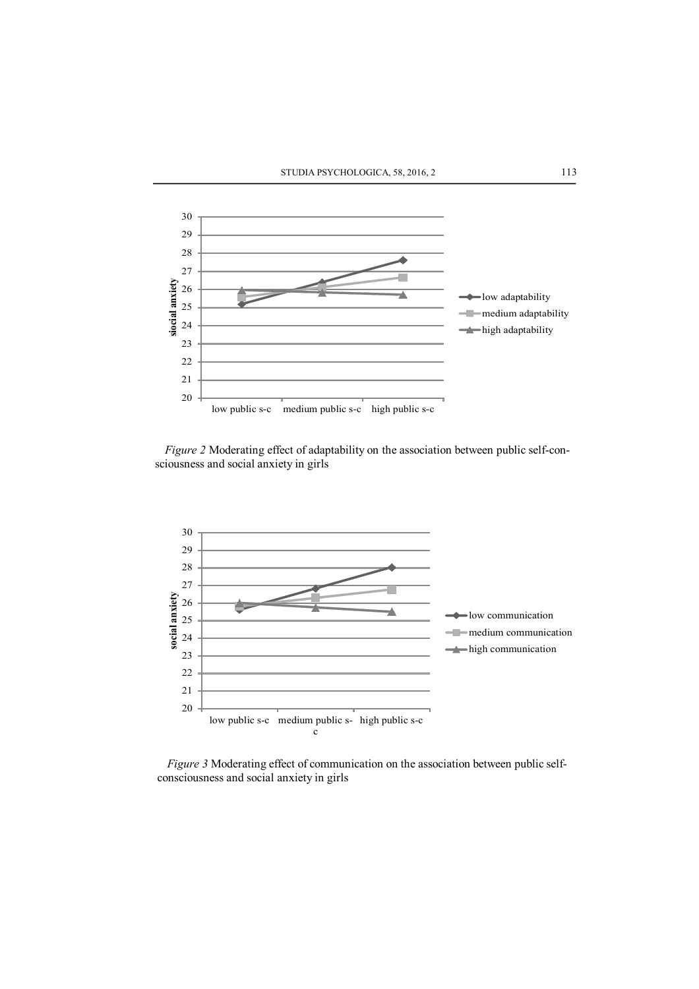

*Figure 2* Moderating effect of adaptability on the association between public self-consciousness and social anxiety in girls



*Figure 3* Moderating effect of communication on the association between public selfconsciousness and social anxiety in girls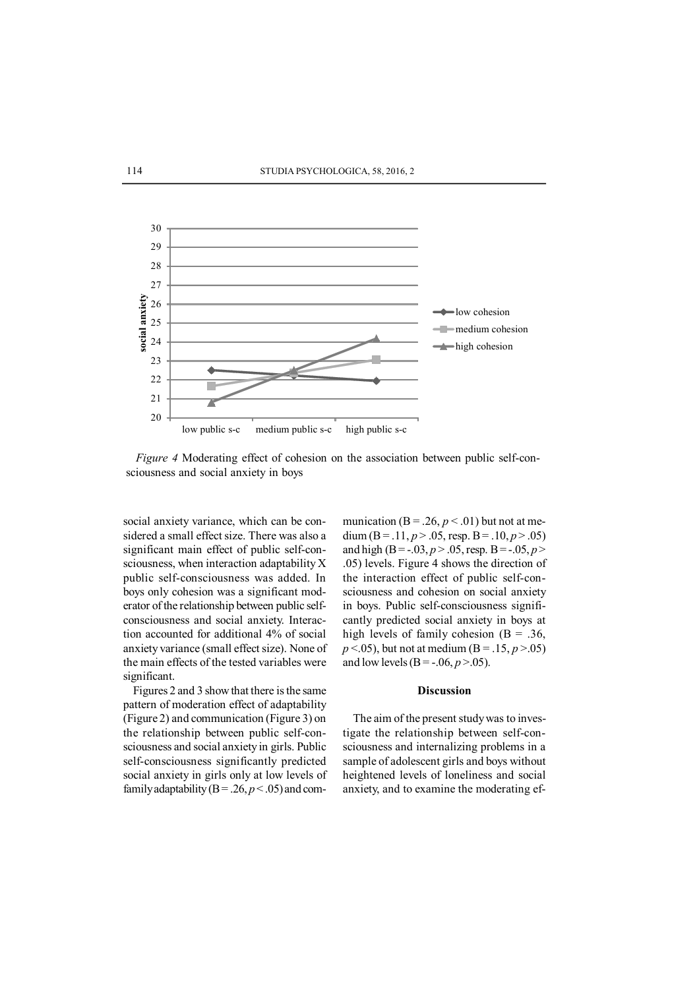

*Figure 4* Moderating effect of cohesion on the association between public self-consciousness and social anxiety in boys

social anxiety variance, which can be considered a small effect size. There was also a significant main effect of public self-consciousness, when interaction adaptability X public self-consciousness was added. In boys only cohesion was a significant moderator of the relationship between public selfconsciousness and social anxiety. Interaction accounted for additional 4% of social anxiety variance (small effect size). None of the main effects of the tested variables were significant.

Figures 2 and 3 show that there is the same pattern of moderation effect of adaptability (Figure 2) and communication (Figure 3) on the relationship between public self-consciousness and social anxiety in girls. Public self-consciousness significantly predicted social anxiety in girls only at low levels of family adaptability ( $B = .26$ ,  $p < .05$ ) and communication  $(B = .26, p < .01)$  but not at medium (B = .11,  $p > .05$ , resp. B = .10,  $p > .05$ ) and high (B = -.03,  $p > .05$ , resp. B = -.05,  $p >$ .05) levels. Figure 4 shows the direction of the interaction effect of public self-consciousness and cohesion on social anxiety in boys. Public self-consciousness significantly predicted social anxiety in boys at high levels of family cohesion ( $B = .36$ ,  $p < .05$ ), but not at medium (B = .15,  $p > .05$ ) and low levels (B = -.06,  $p > .05$ ).

#### **Discussion**

The aim of the present study was to investigate the relationship between self-consciousness and internalizing problems in a sample of adolescent girls and boys without heightened levels of loneliness and social anxiety, and to examine the moderating ef-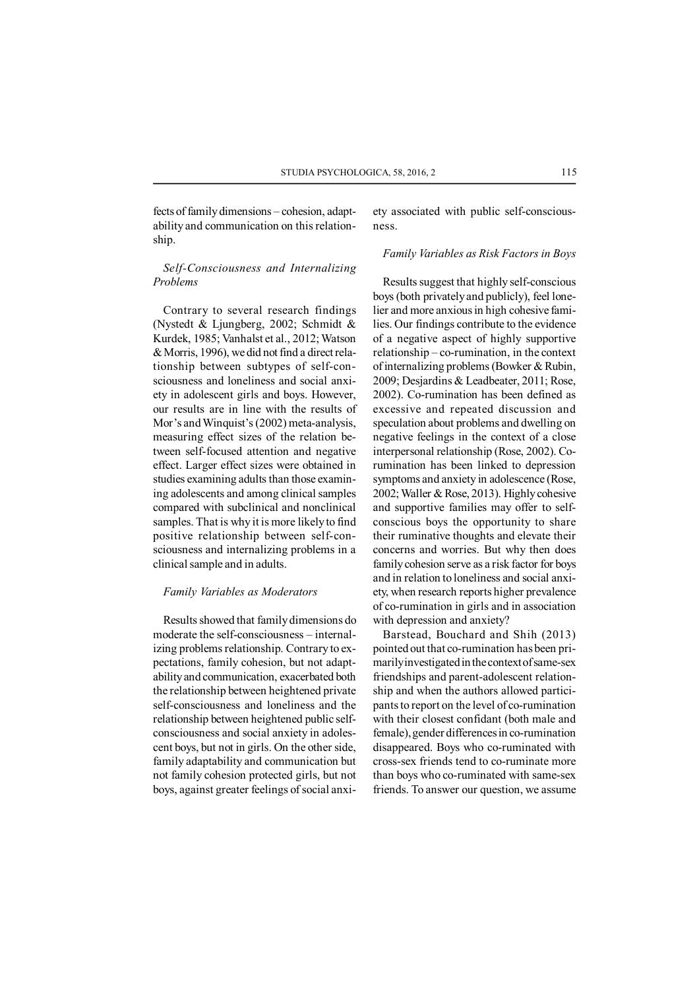fects of family dimensions – cohesion, adaptability and communication on this relationship.

*Self-Consciousness and Internalizing Problems*

Contrary to several research findings (Nystedt & Ljungberg, 2002; Schmidt & Kurdek, 1985; Vanhalst et al., 2012; Watson & Morris, 1996), we did not find a direct relationship between subtypes of self-consciousness and loneliness and social anxiety in adolescent girls and boys. However, our results are in line with the results of Mor's and Winquist's (2002) meta-analysis, measuring effect sizes of the relation between self-focused attention and negative effect. Larger effect sizes were obtained in studies examining adults than those examining adolescents and among clinical samples compared with subclinical and nonclinical samples. That is why it is more likely to find positive relationship between self-consciousness and internalizing problems in a clinical sample and in adults.

### *Family Variables as Moderators*

Results showed that family dimensions do moderate the self-consciousness – internalizing problems relationship. Contrary to expectations, family cohesion, but not adaptability and communication, exacerbated both the relationship between heightened private self-consciousness and loneliness and the relationship between heightened public selfconsciousness and social anxiety in adolescent boys, but not in girls. On the other side, family adaptability and communication but not family cohesion protected girls, but not boys, against greater feelings of social anxiety associated with public self-consciousness.

### *Family Variables as Risk Factors in Boys*

Results suggest that highly self-conscious boys (both privately and publicly), feel lonelier and more anxious in high cohesive families. Our findings contribute to the evidence of a negative aspect of highly supportive relationship – co-rumination, in the context of internalizing problems (Bowker & Rubin, 2009; Desjardins & Leadbeater, 2011; Rose, 2002). Co-rumination has been defined as excessive and repeated discussion and speculation about problems and dwelling on negative feelings in the context of a close interpersonal relationship (Rose, 2002). Corumination has been linked to depression symptoms and anxiety in adolescence (Rose, 2002; Waller & Rose, 2013). Highly cohesive and supportive families may offer to selfconscious boys the opportunity to share their ruminative thoughts and elevate their concerns and worries. But why then does family cohesion serve as a risk factor for boys and in relation to loneliness and social anxiety, when research reports higher prevalence of co-rumination in girls and in association with depression and anxiety?

Barstead, Bouchard and Shih (2013) pointed out that co-rumination has been primarily investigated in the context of same-sex friendships and parent-adolescent relationship and when the authors allowed participants to report on the level of co-rumination with their closest confidant (both male and female), gender differences in co-rumination disappeared. Boys who co-ruminated with cross-sex friends tend to co-ruminate more than boys who co-ruminated with same-sex friends. To answer our question, we assume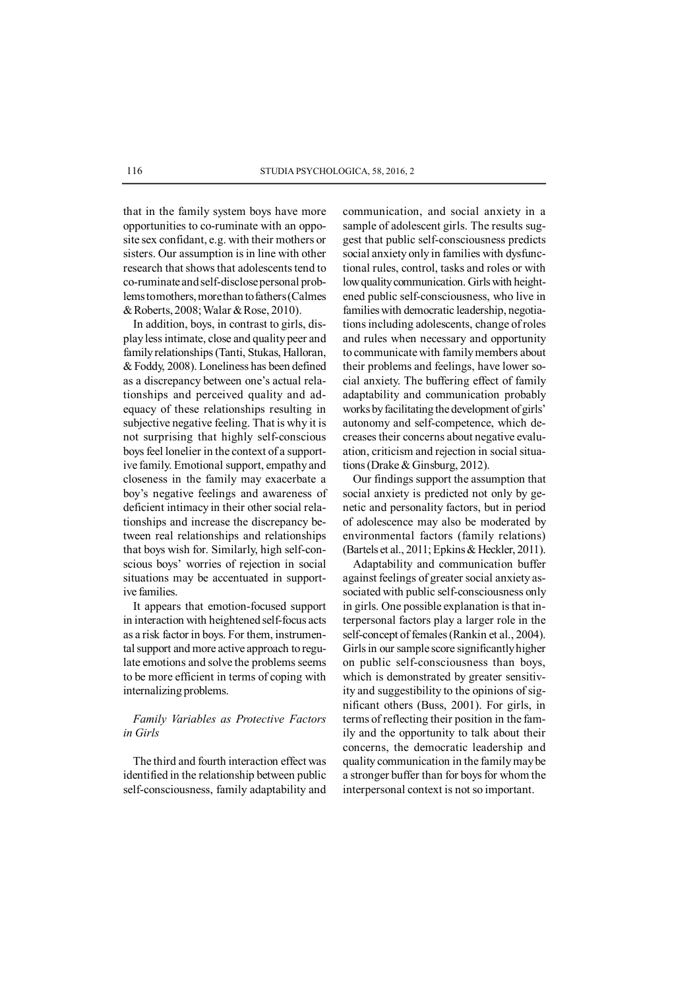that in the family system boys have more opportunities to co-ruminate with an opposite sex confidant, e.g. with their mothers or sisters. Our assumption is in line with other research that shows that adolescents tend to co-ruminate and self-disclose personal problems to mothers, more than to fathers (Calmes & Roberts, 2008; Walar & Rose, 2010).

In addition, boys, in contrast to girls, display less intimate, close and quality peer and family relationships (Tanti, Stukas, Halloran, & Foddy, 2008). Loneliness has been defined as a discrepancy between one's actual relationships and perceived quality and adequacy of these relationships resulting in subjective negative feeling. That is why it is not surprising that highly self-conscious boys feel lonelier in the context of a supportive family. Emotional support, empathy and closeness in the family may exacerbate a boy's negative feelings and awareness of deficient intimacy in their other social relationships and increase the discrepancy between real relationships and relationships that boys wish for. Similarly, high self-conscious boys' worries of rejection in social situations may be accentuated in supportive families.

It appears that emotion-focused support in interaction with heightened self-focus acts as a risk factor in boys. For them, instrumental support and more active approach to regulate emotions and solve the problems seems to be more efficient in terms of coping with internalizing problems.

# *Family Variables as Protective Factors in Girls*

The third and fourth interaction effect was identified in the relationship between public self-consciousness, family adaptability and communication, and social anxiety in a sample of adolescent girls. The results suggest that public self-consciousness predicts social anxiety only in families with dysfunctional rules, control, tasks and roles or with low quality communication. Girls with heightened public self-consciousness, who live in families with democratic leadership, negotiations including adolescents, change of roles and rules when necessary and opportunity to communicate with family members about their problems and feelings, have lower social anxiety. The buffering effect of family adaptability and communication probably works by facilitating the development of girls' autonomy and self-competence, which decreases their concerns about negative evaluation, criticism and rejection in social situations (Drake & Ginsburg, 2012).

Our findings support the assumption that social anxiety is predicted not only by genetic and personality factors, but in period of adolescence may also be moderated by environmental factors (family relations) (Bartels et al., 2011; Epkins & Heckler, 2011).

Adaptability and communication buffer against feelings of greater social anxiety associated with public self-consciousness only in girls. One possible explanation is that interpersonal factors play a larger role in the self-concept of females (Rankin et al., 2004). Girls in our sample score significantly higher on public self-consciousness than boys, which is demonstrated by greater sensitivity and suggestibility to the opinions of significant others (Buss, 2001). For girls, in terms of reflecting their position in the family and the opportunity to talk about their concerns, the democratic leadership and quality communication in the family may be a stronger buffer than for boys for whom the interpersonal context is not so important.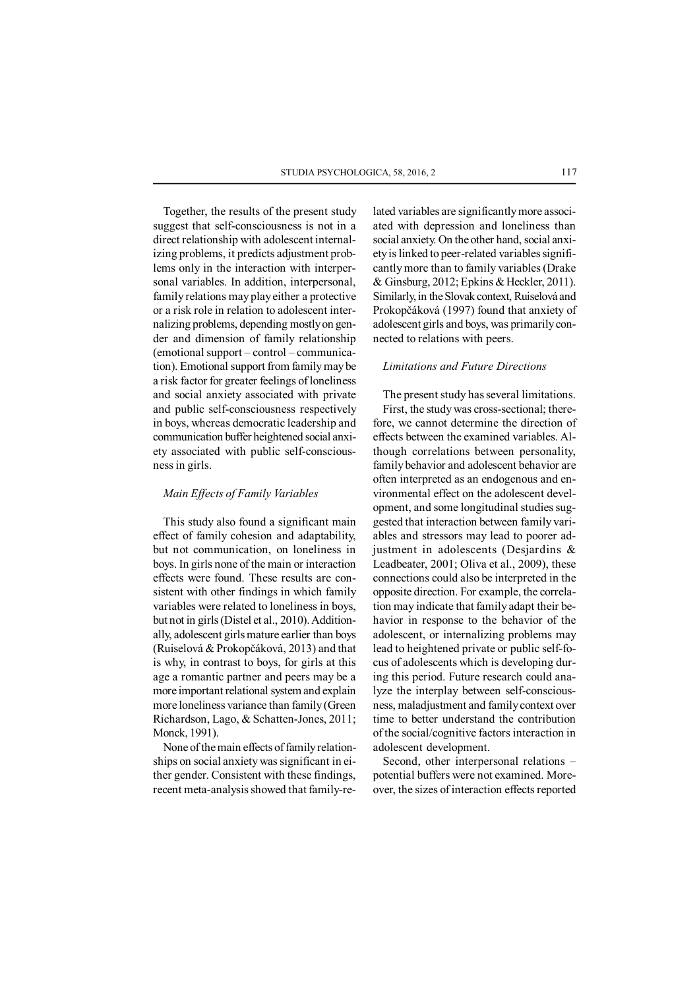Together, the results of the present study suggest that self-consciousness is not in a direct relationship with adolescent internalizing problems, it predicts adjustment problems only in the interaction with interpersonal variables. In addition, interpersonal, family relations may play either a protective or a risk role in relation to adolescent internalizing problems, depending mostly on gender and dimension of family relationship (emotional support – control – communication). Emotional support from family may be a risk factor for greater feelings of loneliness and social anxiety associated with private and public self-consciousness respectively in boys, whereas democratic leadership and communication buffer heightened social anxiety associated with public self-consciousness in girls.

### *Main Effects of Family Variables*

This study also found a significant main effect of family cohesion and adaptability, but not communication, on loneliness in boys. In girls none of the main or interaction effects were found. These results are consistent with other findings in which family variables were related to loneliness in boys, but not in girls (Distel et al., 2010). Additionally, adolescent girls mature earlier than boys (Ruiselová & Prokopčáková, 2013) and that is why, in contrast to boys, for girls at this age a romantic partner and peers may be a more important relational system and explain more loneliness variance than family (Green Richardson, Lago, & Schatten-Jones, 2011; Monck, 1991).

None of the main effects of family relationships on social anxiety was significant in either gender. Consistent with these findings, recent meta-analysis showed that family-related variables are significantly more associated with depression and loneliness than social anxiety. On the other hand, social anxiety is linked to peer-related variables significantly more than to family variables (Drake & Ginsburg, 2012; Epkins & Heckler, 2011). Similarly, in the Slovak context, Ruiselová and Prokopčáková (1997) found that anxiety of adolescent girls and boys, was primarily connected to relations with peers.

## *Limitations and Future Directions*

The present study has several limitations. First, the study was cross-sectional; therefore, we cannot determine the direction of effects between the examined variables. Although correlations between personality, family behavior and adolescent behavior are often interpreted as an endogenous and environmental effect on the adolescent development, and some longitudinal studies suggested that interaction between family variables and stressors may lead to poorer adjustment in adolescents (Desjardins & Leadbeater, 2001; Oliva et al., 2009), these connections could also be interpreted in the opposite direction. For example, the correlation may indicate that family adapt their behavior in response to the behavior of the adolescent, or internalizing problems may lead to heightened private or public self-focus of adolescents which is developing during this period. Future research could analyze the interplay between self-consciousness, maladjustment and family context over time to better understand the contribution of the social/cognitive factors interaction in adolescent development.

Second, other interpersonal relations – potential buffers were not examined. Moreover, the sizes of interaction effects reported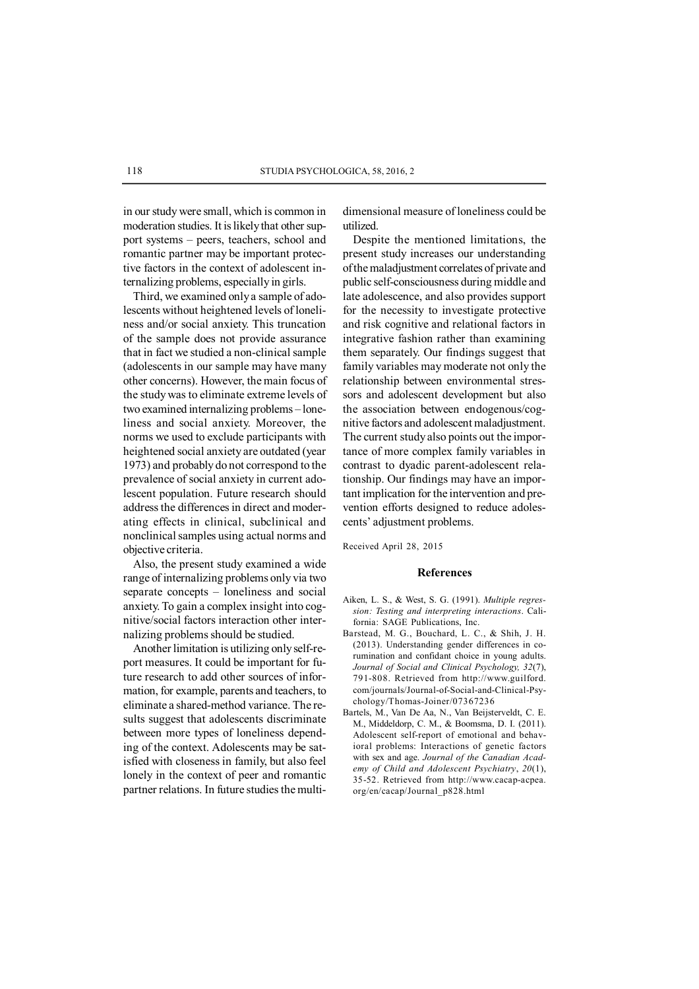in our study were small, which is common in moderation studies. It is likely that other support systems – peers, teachers, school and romantic partner may be important protective factors in the context of adolescent internalizing problems, especially in girls.

Third, we examined only a sample of adolescents without heightened levels of loneliness and/or social anxiety. This truncation of the sample does not provide assurance that in fact we studied a non-clinical sample (adolescents in our sample may have many other concerns). However, the main focus of the study was to eliminate extreme levels of two examined internalizing problems – loneliness and social anxiety. Moreover, the norms we used to exclude participants with heightened social anxiety are outdated (year 1973) and probably do not correspond to the prevalence of social anxiety in current adolescent population. Future research should address the differences in direct and moderating effects in clinical, subclinical and nonclinical samples using actual norms and objective criteria.

Also, the present study examined a wide range of internalizing problems only via two separate concepts – loneliness and social anxiety. To gain a complex insight into cognitive/social factors interaction other internalizing problems should be studied.

Another limitation is utilizing only self-report measures. It could be important for future research to add other sources of information, for example, parents and teachers, to eliminate a shared-method variance. The results suggest that adolescents discriminate between more types of loneliness depending of the context. Adolescents may be satisfied with closeness in family, but also feel lonely in the context of peer and romantic partner relations. In future studies the multidimensional measure of loneliness could be utilized.

Despite the mentioned limitations, the present study increases our understanding of the maladjustment correlates of private and public self-consciousness during middle and late adolescence, and also provides support for the necessity to investigate protective and risk cognitive and relational factors in integrative fashion rather than examining them separately. Our findings suggest that family variables may moderate not only the relationship between environmental stressors and adolescent development but also the association between endogenous/cognitive factors and adolescent maladjustment. The current study also points out the importance of more complex family variables in contrast to dyadic parent-adolescent relationship. Our findings may have an important implication for the intervention and prevention efforts designed to reduce adolescents' adjustment problems.

Received April 28, 2015

#### **References**

- Aiken, L. S., & West, S. G. (1991). *Multiple regression: Testing and interpreting interactions*. California: SAGE Publications, Inc.
- Barstead, M. G., Bouchard, L. C., & Shih, J. H. (2013). Understanding gender differences in corumination and confidant choice in young adults. *Journal of Social and Clinical Psychology, 32*(7), 791-808. Retrieved from http://www.guilford. com/journals/Journal-of-Social-and-Clinical-Psychology/Thomas-Joiner/07367236
- Bartels, M., Van De Aa, N., Van Beijsterveldt, C. E. M., Middeldorp, C. M., & Boomsma, D. I. (2011). Adolescent self-report of emotional and behavioral problems: Interactions of genetic factors with sex and age. *Journal of the Canadian Academy of Child and Adolescent Psychiatry*, *20*(1), 35-52. Retrieved from http://www.cacap-acpea. org/en/cacap/Journal\_p828.html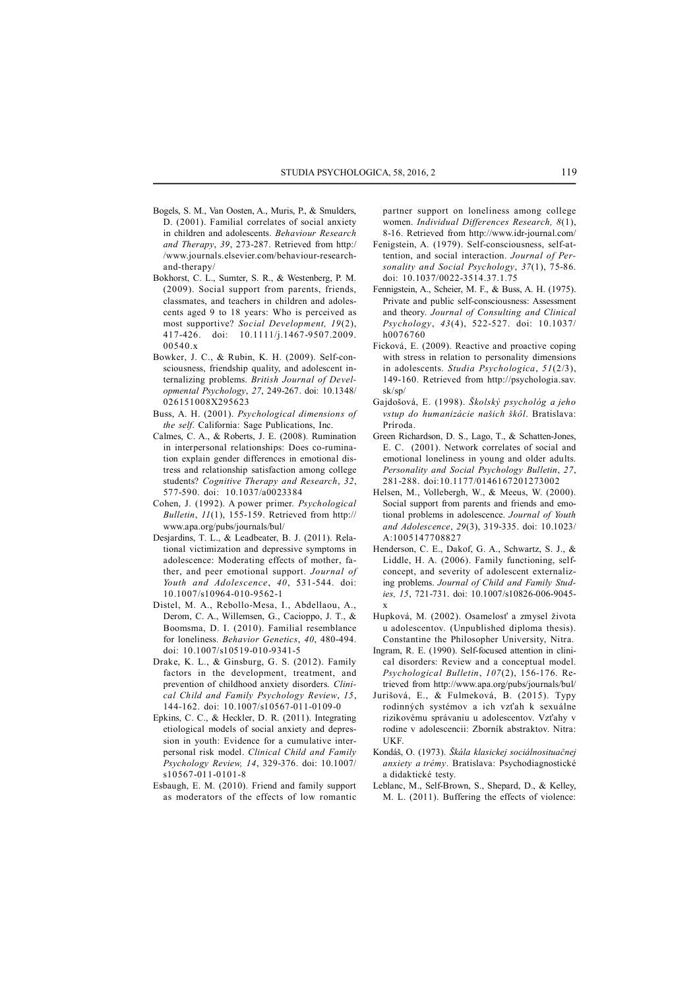- Bogels, S. M., Van Oosten, A., Muris, P., & Smulders, D. (2001). Familial correlates of social anxiety in children and adolescents. *Behaviour Research and Therapy*, *39*, 273-287. Retrieved from http:/ /www.journals.elsevier.com/behaviour-researchand-therapy/
- Bokhorst, C. L., Sumter, S. R., & Westenberg, P. M. (2009). Social support from parents, friends, classmates, and teachers in children and adolescents aged 9 to 18 years: Who is perceived as most supportive? *Social Development, 19*(2), 417-426. doi: 10.1111/j.1467-9507.2009. 00540.x
- Bowker, J. C., & Rubin, K. H. (2009). Self-consciousness, friendship quality, and adolescent internalizing problems. *British Journal of Developmental Psychology*, *27*, 249-267. doi: 10.1348/ 026151008X295623
- Buss, A. H. (2001). *Psychological dimensions of the self*. California: Sage Publications, Inc.
- Calmes, C. A., & Roberts, J. E. (2008). Rumination in interpersonal relationships: Does co-rumination explain gender differences in emotional distress and relationship satisfaction among college students? *Cognitive Therapy and Research*, *32*, 577-590. doi: 10.1037/a0023384
- Cohen, J. (1992). A power primer. *Psychological Bulletin*, *11*(1), 155-159. Retrieved from http:// www.apa.org/pubs/journals/bul/
- Desjardins, T. L., & Leadbeater, B. J. (2011). Relational victimization and depressive symptoms in adolescence: Moderating effects of mother, father, and peer emotional support. *Journal of Youth and Adolescence*, *40*, 531-544. doi: 10.1007/s10964-010-9562-1
- Distel, M. A., Rebollo-Mesa, I., Abdellaou, A., Derom, C. A., Willemsen, G., Cacioppo, J. T., & Boomsma, D. I. (2010). Familial resemblance for loneliness. *Behavior Genetics*, *40*, 480-494. doi: 10.1007/s10519-010-9341-5
- Drake, K. L., & Ginsburg, G. S. (2012). Family factors in the development, treatment, and prevention of childhood anxiety disorders. *Clinical Child and Family Psychology Review*, *15*, 144-162. doi: 10.1007/s10567-011-0109-0
- Epkins, C. C., & Heckler, D. R. (2011). Integrating etiological models of social anxiety and depression in youth: Evidence for a cumulative interpersonal risk model. *Clinical Child and Family Psychology Review, 14*, 329-376. doi: 10.1007/ s10567-011-0101-8
- Esbaugh, E. M. (2010). Friend and family support as moderators of the effects of low romantic

partner support on loneliness among college women. *Individual Differences Research, 8*(1), 8-16. Retrieved from http://www.idr-journal.com/

- Fenigstein, A. (1979). Self-consciousness, self-attention, and social interaction. *Journal of Personality and Social Psychology*, *37*(1), 75-86. doi: 10.1037/0022-3514.37.1.75
- Fennigstein, A., Scheier, M. F., & Buss, A. H. (1975). Private and public self-consciousness: Assessment and theory. *Journal of Consulting and Clinical Psychology*, *43*(4), 522-527. doi: 10.1037/ h0076760
- Ficková, E. (2009). Reactive and proactive coping with stress in relation to personality dimensions in adolescents. *Studia Psychologica*, *51*(2/3), 149-160. Retrieved from http://psychologia.sav. sk/sp/
- Gajdošová, E. (1998). *Školský psychológ a jeho vstup do humanizácie našich škôl*. Bratislava: Príroda.
- Green Richardson, D. S., Lago, T., & Schatten-Jones, E. C. (2001). Network correlates of social and emotional loneliness in young and older adults. *Personality and Social Psychology Bulletin*, *27*, 281-288. doi:10.1177/0146167201273002
- Helsen, M., Vollebergh, W., & Meeus, W. (2000). Social support from parents and friends and emotional problems in adolescence. *Journal of Youth and Adolescence*, *29*(3), 319-335. doi: 10.1023/ A:1005147708827
- Henderson, C. E., Dakof, G. A., Schwartz, S. J., & Liddle, H. A. (2006). Family functioning, selfconcept, and severity of adolescent externalizing problems. *Journal of Child and Family Studies, 15*, 721-731. doi: 10.1007/s10826-006-9045 x
- Hupková, M. (2002). Osamelosť a zmysel života u adolescentov. (Unpublished diploma thesis). Constantine the Philosopher University, Nitra.
- Ingram, R. E. (1990). Self-focused attention in clinical disorders: Review and a conceptual model. *Psychological Bulletin*, *107*(2), 156-176. Retrieved from http://www.apa.org/pubs/journals/bul/
- Jurišová, E., & Fulmeková, B. (2015). Typy rodinných systémov a ich vzťah k sexuálne rizikovému správaniu u adolescentov. Vzťahy v rodine v adolescencii: Zborník abstraktov. Nitra: UKF.
- Kondáš, O. (1973). *Škála klasickej sociálnosituačnej anxiety a trémy*. Bratislava: Psychodiagnostické a didaktické testy.
- Leblanc, M., Self-Brown, S., Shepard, D., & Kelley, M. L. (2011). Buffering the effects of violence: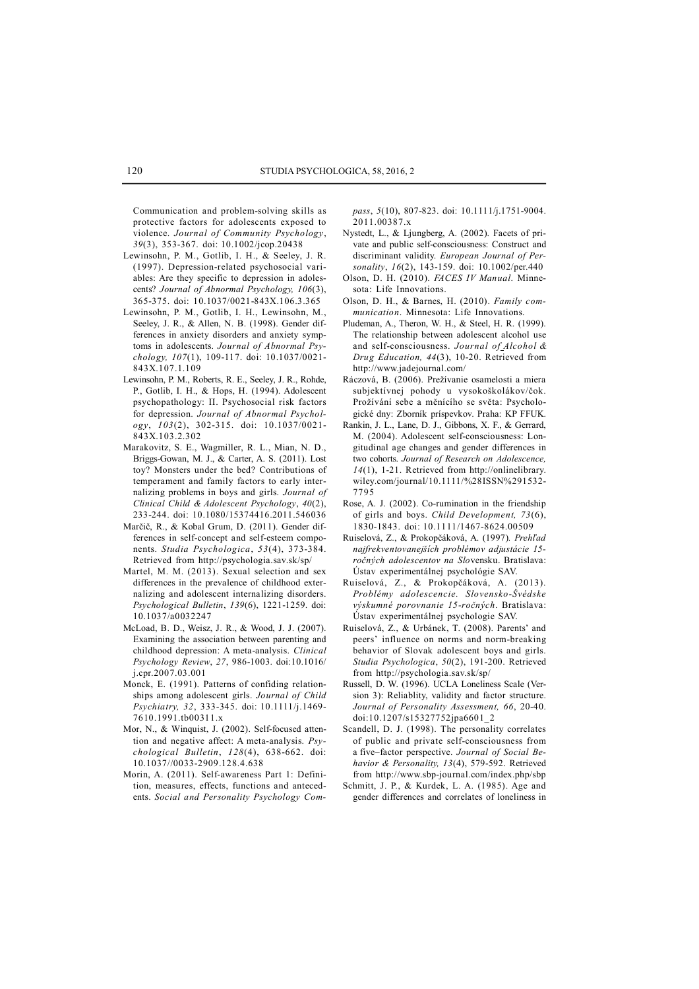Communication and problem-solving skills as protective factors for adolescents exposed to violence. *Journal of Community Psychology*, *39*(3), 353-367. doi: 10.1002/jcop.20438

- Lewinsohn, P. M., Gotlib, I. H., & Seeley, J. R. (1997). Depression-related psychosocial variables: Are they specific to depression in adolescents? *Journal of Abnormal Psychology, 106*(3), 365-375. doi: 10.1037/0021-843X.106.3.365
- Lewinsohn, P. M., Gotlib, I. H., Lewinsohn, M., Seeley, J. R., & Allen, N. B. (1998). Gender differences in anxiety disorders and anxiety symptoms in adolescents. *Journal of Abnormal Psychology, 107*(1), 109-117. doi: 10.1037/0021- 843X.107.1.109
- Lewinsohn, P. M., Roberts, R. E., Seeley, J. R., Rohde, P., Gotlib, I. H., & Hops, H. (1994). Adolescent psychopathology: II. Psychosocial risk factors for depression. *Journal of Abnormal Psychology*, *103*(2), 302-315. doi: 10.1037/0021- 843X.103.2.302
- Marakovitz, S. E., Wagmiller, R. L., Mian, N. D., Briggs-Gowan, M. J., & Carter, A. S. (2011). Lost toy? Monsters under the bed? Contributions of temperament and family factors to early internalizing problems in boys and girls. *Journal of Clinical Child & Adolescent Psychology*, *40*(2), 233-244. doi: 10.1080/15374416.2011.546036
- Marčič, R., & Kobal Grum, D. (2011). Gender differences in self-concept and self-esteem components. *Studia Psychologica*, *53*(4), 373-384. Retrieved from http://psychologia.sav.sk/sp/
- Martel, M. M. (2013). Sexual selection and sex differences in the prevalence of childhood externalizing and adolescent internalizing disorders. *Psychological Bulletin*, *139*(6), 1221-1259. doi: 10.1037/a0032247
- McLoad, B. D., Weisz, J. R., & Wood, J. J. (2007). Examining the association between parenting and childhood depression: A meta-analysis. *Clinical Psychology Review*, *27*, 986-1003. doi:10.1016/ j.cpr.2007.03.001
- Monck, E. (1991). Patterns of confiding relationships among adolescent girls. *Journal of Child Psychiatry, 32*, 333-345. doi: 10.1111/j.1469- 7610.1991.tb00311.x
- Mor, N., & Winquist, J. (2002). Self-focused attention and negative affect: A meta-analysis. *Psychological Bulletin*, *128*(4), 638-662. doi: 10.1037//0033-2909.128.4.638
- Morin, A. (2011). Self-awareness Part 1: Definition, measures, effects, functions and antecedents. *Social and Personality Psychology Com-*

*pass*, *5*(10), 807-823. doi: 10.1111/j.1751-9004. 2011.00387.x

- Nystedt, L., & Ljungberg, A. (2002). Facets of private and public self-consciousness: Construct and discriminant validity. *European Journal of Personality*, *16*(2), 143-159. doi: 10.1002/per.440
- Olson, D. H. (2010). *FACES IV Manual*. Minnesota: Life Innovations.
- Olson, D. H., & Barnes, H. (2010). *Family communication*. Minnesota: Life Innovations.
- Pludeman, A., Theron, W. H., & Steel, H. R. (1999). The relationship between adolescent alcohol use and self-consciousness. *Journal of Alcohol & Drug Education, 44*(3), 10-20. Retrieved from http://www.jadejournal.com/
- Ráczová, B. (2006). Prežívanie osamelosti a miera subjektívnej pohody u vysokoškolákov/čok. Prožívání sebe a měnícího se světa: Psychologické dny: Zborník príspevkov. Praha: KP FFUK.
- Rankin, J. L., Lane, D. J., Gibbons, X. F., & Gerrard, M. (2004). Adolescent self-consciousness: Longitudinal age changes and gender differences in two cohorts. *Journal of Research on Adolescence, 14*(1), 1-21. Retrieved from http://onlinelibrary. wiley.com/journal/10.1111/%28ISSN%291532- 7795
- Rose, A. J. (2002). Co-rumination in the friendship of girls and boys. *Child Development, 73*(6), 1830-1843. doi: 10.1111/1467-8624.00509
- Ruiselová, Z., & Prokopčáková, A. (1997)*. Prehľad najfrekventovanejších problémov adjustácie 15 ročných adolescentov na Slo*vensku. Bratislava: Ústav experimentálnej psychológie SAV.
- Ruiselová, Z., & Prokopčáková, A. (2013). *Problémy adolescencie. Slovensko-Švédske výskumné porovnanie 15-ročných*. Bratislava: Ústav experimentálnej psychologie SAV.
- Ruiselová, Z., & Urbánek, T. (2008). Parents' and peers' influence on norms and norm-breaking behavior of Slovak adolescent boys and girls. *Studia Psychologica*, *50*(2), 191-200. Retrieved from http://psychologia.sav.sk/sp/
- Russell, D. W. (1996). UCLA Loneliness Scale (Version 3): Reliablity, validity and factor structure. *Journal of Personality Assessment, 66*, 20-40. doi:10.1207/s15327752jpa6601\_2
- Scandell, D. J. (1998). The personality correlates of public and private self-consciousness from a five–factor perspective. *Journal of Social Behavior & Personality, 13*(4), 579-592. Retrieved from http://www.sbp-journal.com/index.php/sbp
- Schmitt, J. P., & Kurdek, L. A. (1985). Age and gender differences and correlates of loneliness in